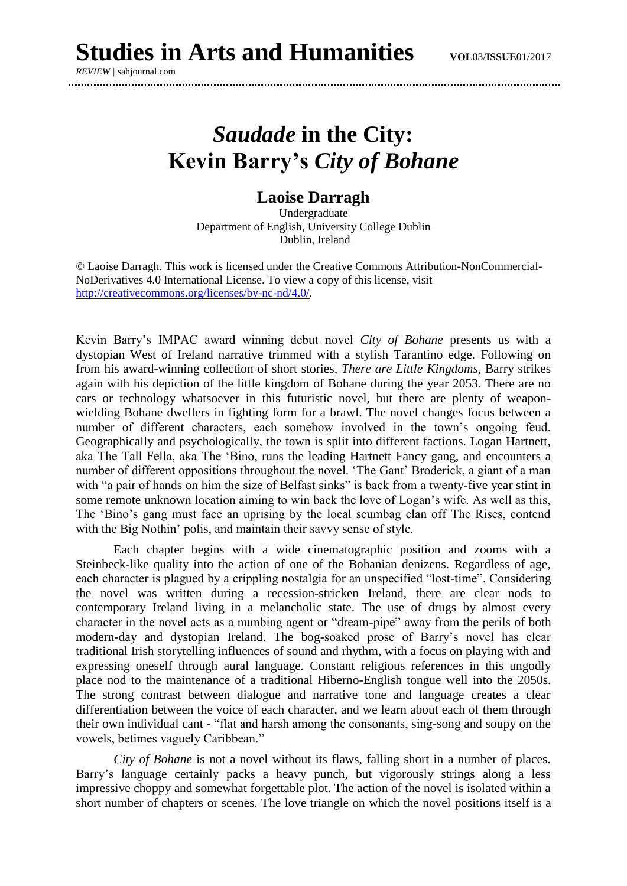*REVIEW |* sahjournal.com

## *Saudade* **in the City: Kevin Barry's** *City of Bohane*

## **Laoise Darragh**

Undergraduate Department of English, University College Dublin Dublin, Ireland

© Laoise Darragh. This work is licensed under the Creative Commons Attribution-NonCommercial-NoDerivatives 4.0 International License. To view a copy of this license, visit [http://creativecommons.org/licenses/by-nc-nd/4.0/.](http://creativecommons.org/licenses/by-nc-nd/4.0/)

Kevin Barry's IMPAC award winning debut novel *City of Bohane* presents us with a dystopian West of Ireland narrative trimmed with a stylish Tarantino edge. Following on from his award-winning collection of short stories, *There are Little Kingdoms*, Barry strikes again with his depiction of the little kingdom of Bohane during the year 2053. There are no cars or technology whatsoever in this futuristic novel, but there are plenty of weaponwielding Bohane dwellers in fighting form for a brawl. The novel changes focus between a number of different characters, each somehow involved in the town's ongoing feud. Geographically and psychologically, the town is split into different factions. Logan Hartnett, aka The Tall Fella, aka The 'Bino, runs the leading Hartnett Fancy gang, and encounters a number of different oppositions throughout the novel. 'The Gant' Broderick, a giant of a man with "a pair of hands on him the size of Belfast sinks" is back from a twenty-five year stint in some remote unknown location aiming to win back the love of Logan's wife. As well as this, The 'Bino's gang must face an uprising by the local scumbag clan off The Rises, contend with the Big Nothin' polis, and maintain their savvy sense of style.

Each chapter begins with a wide cinematographic position and zooms with a Steinbeck-like quality into the action of one of the Bohanian denizens. Regardless of age, each character is plagued by a crippling nostalgia for an unspecified "lost-time". Considering the novel was written during a recession-stricken Ireland, there are clear nods to contemporary Ireland living in a melancholic state. The use of drugs by almost every character in the novel acts as a numbing agent or "dream-pipe" away from the perils of both modern-day and dystopian Ireland. The bog-soaked prose of Barry's novel has clear traditional Irish storytelling influences of sound and rhythm, with a focus on playing with and expressing oneself through aural language. Constant religious references in this ungodly place nod to the maintenance of a traditional Hiberno-English tongue well into the 2050s. The strong contrast between dialogue and narrative tone and language creates a clear differentiation between the voice of each character, and we learn about each of them through their own individual cant - "flat and harsh among the consonants, sing-song and soupy on the vowels, betimes vaguely Caribbean."

*City of Bohane* is not a novel without its flaws, falling short in a number of places. Barry's language certainly packs a heavy punch, but vigorously strings along a less impressive choppy and somewhat forgettable plot. The action of the novel is isolated within a short number of chapters or scenes. The love triangle on which the novel positions itself is a